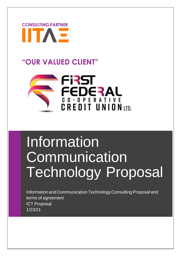

# **"OUR VALUED CLIENT"**



# **Information Communication** Technology Proposal

Information and Communication TechnologyConsultingProposal and terms of agreement ICT Proposal 1/23/21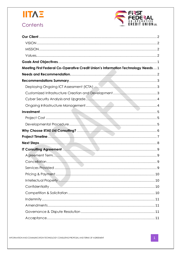

# Contents



| Meeting First Federal Co-Operative Credit Union's Information Technology Needs 1 |  |
|----------------------------------------------------------------------------------|--|
|                                                                                  |  |
|                                                                                  |  |
|                                                                                  |  |
|                                                                                  |  |
|                                                                                  |  |
|                                                                                  |  |
|                                                                                  |  |
|                                                                                  |  |
|                                                                                  |  |
|                                                                                  |  |
|                                                                                  |  |
|                                                                                  |  |
|                                                                                  |  |
|                                                                                  |  |
|                                                                                  |  |
|                                                                                  |  |
|                                                                                  |  |
|                                                                                  |  |
|                                                                                  |  |
|                                                                                  |  |
|                                                                                  |  |
|                                                                                  |  |
|                                                                                  |  |
|                                                                                  |  |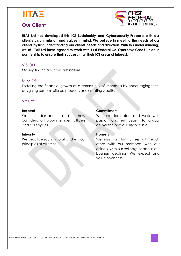

# <span id="page-2-0"></span>**Our Client**



**IITAE Ltd has developed this ICT Sustainably and Cybersecurity Proposal with our client's vision, mission and values in mind. We believe in meeting the needs of our clients by first understanding our clients needs and direction. With this understanding, we at IITAE Ltd have agreed to work with First Federal Co-Operative Credit Union in partnership to ensure their success in all their ICT areas of interest.**

#### <span id="page-2-1"></span>VISION

Making financial success first nature

#### <span id="page-2-2"></span>MISSION

Fostering the financial growth of a community of members by encouraging thrift, designing custom tailored products and creating wealth.

#### <span id="page-2-3"></span>Values

#### **Respect**

We Understand and show consideration to our members, officers and colleagues

#### **Integrity**

We practice sound moral and ethical principles at all times

#### **Commitment**

We are dedicated and work with passion and enthusiasm to always deliver the best quality possible.

#### **Honesty**

We insist on truthfulness with each other, with our members, with our officers, with our colleagues and in our business dealings. We expect and value openness.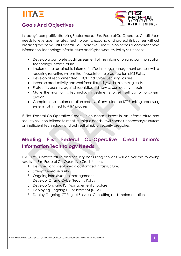# <span id="page-3-0"></span>**Goals And Objectives**



In today'scompetitiveBankingSectormarket, First Federal Co-Operative Credit Union needs to leverage the latest technology to expand and protect its business without breaking the bank. First Federal Co-Operative Credit Union needs a comprehensive Information Technology infrastructure and Cyber Security Policy solution to:

- *●* Develop a complete audit assessment of the information and communication technology infrastructure.
- *●* Implement a sustainable Information Technology management process with a recurring reporting system that feedsinto the organization's ICT Policy.
- *●* Develop all recommended IT, ICT and Cyber Security Policies
- *●* Increase productivity and workforce flexibility while minimizing costs.
- *●* Protect its business against sophisticated new cyber security threats.
- *●* Make the most of its technology investments to set itself up for long-term growth.
- *●* Complete the implementation process of any selected ICT Banking processing system not limited to ATM process.

If First Federal Co-Operative Credit Union doesn't invest in an infrastructure and security solution tailored to meet its unique needs, it will spend unnecessary resources on inefficient technology and put itself at risk for security breaches.

# <span id="page-3-1"></span>**Meeting First Federal Co-Operative Credit Union's Information Technology Needs**

IITAE Ltd.'s infrastructure and security consulting services will deliver the following results for First Federal Co-Operative Credit Union:

- 1. Designed and deployed a customized infrastructure.
- 2. Strengthened security.
- 3. Ongoing infrastructure management
- 4. Develop ICT and Cyber Security Policy
- 5. Develop Ongoing ICT Management Structure
- 6. Deploying Ongoing ICT Assessment (ICTA)
- 7. Deploy Ongoing ICT Project Services Consulting and Implementation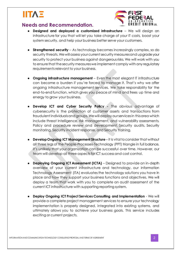

# <span id="page-4-0"></span>**Needs and Recommendation.**

- **● Designed and deployed a customized infrastructure** We will design an infrastructure for you that will let you take charge of your IT costs, boost your system security, and help your business better serve your customers.
- **● Strengthened security** As technology becomes increasingly complex, so do security threats. We will assess your current security measures and upgrade your security to protect your business against dangerous risks. We will work with you to ensure that the security measures we implement comply with any regulatory requirements relevant to your business.
- **● Ongoing infrastructure management** Even the most elegant IT infrastructure can become a burden if you're forced to manage it. That's why we offer ongoing infrastructure management services. We take responsibility for the end-to-end function, which gives you peace of mind and frees up time and energy to grow your business.
- **● Develop ICT and Cyber Security Policy -** The obvious advantage of cybersecurity is the protection of customer assets and transactions from fraudulent individualsand groups. Wewilldeploy ourservicesin thisarea which include threat Intelligence, risk management, and vulnerability assessments. Policy and procedure review and development. Security audits, Security monitoring, Security incident response, and Security training.
- **● DevelopOngoing ICT Management Structure** it is vitaltoconsider that without all three legs of the People-Processes-Technology (PPT) triangle in full balance, it's unlikely that your organization can be successful over time. However, our team will develop all three aspects for ICT success and cost control.
- **Deploying Ongoing ICT Assessment (ICTA)** Designed to provide an in-depth overview of your current infrastructure and technology, our Information Technology Assessment (ITA) evaluates the technology solutions you have in place and how they support your business functions and objectives. We will deploy a team that work with you to complete an audit assessment of the current ICT infrastructure with supporting reporting system.
- **● Deploy Ongoing ICT Project Services Consulting and Implementation** We will provide a complete project management services to ensure your technology implementation is properly designed, integrated into existing systems, and ultimately allows you to achieve your business goals. This service includes exciting or current projects.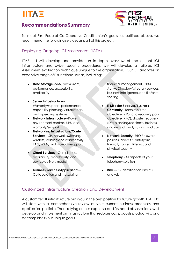# <span id="page-5-0"></span>**Recommendations Summary**



To meet First Federal Co-Operative Credit Union's goals, as outlined above, we recommend the following services as part of this project:

### <span id="page-5-1"></span>Deploying Ongoing ICT Assessment (ICTA)

IITAE Ltd will develop and provide an in-depth overview of the current ICT infrastructure and cyber security procedures, we will develop a tailored ICT Assessment evaluation technique unique to the organization. Our ICT analyzes an expansive range of IT functional areas, including:

- **Data Storage** –SAN, permissions, performance, accessibility, availability
- **Server Infrastructure** Warranty/support, performance, capability planning, virtualization, and operating systems
- **Network Infrastructure** –Power, environment controls, UPS, and warranty/support
- **Networking Infrastructure/Carrier Services** –ISP, network switching, wireless, cabling and connectivity, LAN/WAN, and warranty/support.
- **Cloud Services** –Compliance, availability, accessibility, and service delivery model
- **Business Services/Applications** Collaboration and messaging,

financial management, CRM, Active Directory/directory services, business intelligence, and file/print sharing

- **IT Disaster Recover/Business Continuity** –Recovery time objective (RTO) and recovery point objective (RPO), disaster recovery (DR) planning/readiness, business and impact analysis, and backups.
- **Network Security** –RTO Password policies, anti-virus, anti-spam, firewall, content filtering, and physical security
- **Telephony** –All aspects of your telephony solution
- **Risk** –Risk identification and risk analysis

# <span id="page-5-2"></span>Customized Infrastructure Creation and Development

A customized IT infrastructure puts you in the best position for future growth. IITAE Ltd will start with a comprehensive review of your current business processes and application portfolio. Then, relying on our expertise and firsthand observations, we'll develop and implement an infrastructure thatreduces costs, boosts productivity, and accomplishes your unique goals.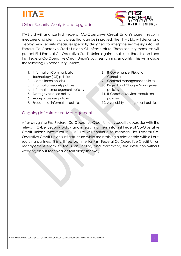# <span id="page-6-0"></span>Cyber Security Analysis and Upgrade



IITAE Ltd will analyze First Federal Co-Operative Credit Union's current security measures and identify any areasthat can be improved. Then IITAE Ltd will design and deploy new security measures specially designed to integrate seamlessly into First Federal Co-Operative Credit Union's ICT infrastructure. These security measures will protect First Federal Co-Operative Credit Union against maliciousthreats and keep First Federal Co-Operative Credit Union's business running smoothly. This will include the following Cybersecurity Policies;

- 1. Information Communication Technology (ICT) policies
- 2. Compliance policies
- 3. Information security policies
- 4. Information management policies
- 5. Data govemance policy
- 6. Acceptable use policies
- 7. Freedom of information policies
- 8. IT Governance, Risk and **Compliance**
- 9. Contract management policies
- 10. Project and Change Management policies
- 11. IT Goods or Services Acquisition policies
- 12. Availability management policies

# <span id="page-6-1"></span>Ongoing Infrastructure Management

After designing First Federal Co-Operative Credit Union's security upgrades with the relevant Cyber Security policy and integrating them into First Federal Co-Operative Credit Union's infrastructure, IITAE Ltd will continue to manage First Federal Co-Operative Credit Union's infrastructure while maintaining a relationship with all outsourcing partners. This will free up time for First Federal Co-Operative Credit Union management team to focus on scaling and maximizing the institution without worrying about technical details along the way.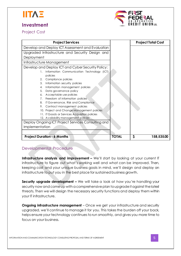

# <span id="page-7-0"></span>**Investment**



<span id="page-7-1"></span>Project Cost

| <b>Project Services</b>                            |              | <b>Project Total Cost</b> |
|----------------------------------------------------|--------------|---------------------------|
| Develop and Deploy ICT Assessment and Evaluation   |              |                           |
| Upgraded Infrastructure and Security Design and    |              |                           |
| Deployment                                         |              |                           |
| Infrastructure Management                          |              |                           |
| Develop and Deploy ICT and Cyber Security Policy:  |              |                           |
| Information Communication Technology (ICT)<br>1.   |              |                           |
| policies                                           |              |                           |
| Compliance policies<br>2.                          |              |                           |
| 3.<br>Information security policies                |              |                           |
| Information management policies<br>4.              |              |                           |
| 5.<br>Data governance policy                       |              |                           |
| Acceptable use policies<br>6.                      |              |                           |
| Freedom of information policies<br>7.              |              |                           |
| IT Governance, Risk and Compliance<br>8.           |              |                           |
| Contract management policies<br>9.                 |              |                           |
| 10. Project and Change Management policies         |              |                           |
| 11. IT Goods or Services Acquisition policies      |              |                           |
| 12. Availability management policies               |              |                           |
| Deploy Ongoing ICT Project Services Consulting and |              |                           |
| Implementation                                     |              |                           |
|                                                    |              |                           |
| <b>Project Duration - 6 Months</b>                 | <b>TOTAL</b> | \$<br>158,535.00          |

### <span id="page-7-2"></span>Developmental Procedure

**Infrastructure analysis and <b>improvement** – We'll start by looking at your current IT infrastructure to figure out what's working well and what can be improved. Then, keeping cost and your unique business goals in mind, we'll design and deploy an infrastructure to put you in the best place for sustained business growth.

**Security upgrade development –** We will take a look at how you're handling your security now and come up with a comprehensive plan to upgrade it against the latest threats. Then we will design the necessary security functions and deploy them within your IT infrastructure.

**Ongoing infrastructure management** – Once we get your infrastructure and security upgraded, we'll continue to manage it for you. This takes the burden off your back, helps ensure your technology continuesto run smoothly, and gives you more time to focus on your business.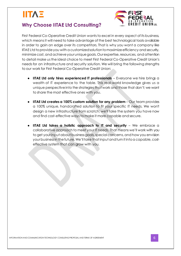

# <span id="page-8-0"></span>**Why Choose IITAE Ltd Consulting?**

First Federal Co-Operative Credit Union wantsto excel in every aspect of its business, which meansit will need to take advantage of the best technological tools available in order to gain an edge over its competitors. That is why you want a company like IITAE Ltd to provide you with a customized solution to maximize efficiency and security, minimize cost, and achieve your unique goals. Our expertise, resources, and attention to detail make usthe ideal choice to meet First Federal Co-Operative Credit Union's needsfor an infrastructure and security solution. We will bring the following strengths to our work for First Federal Co-Operative Credit Union:

- **● IITAE Ltd only hires experienced IT professionals** *–* Everyone we hire brings a wealth of IT experience to the table. This real-world knowledge gives us a unique perspectiveinto the strategies that work and those that don't; we want to share the most effective ones with you.
- **● IITAE Ltd creates a 100% custom solution for any problem** Our team provides a 100% unique, handcrafted solution to fit your specific IT needs. We won't design a new infrastructure from scratch; we'll take the system you have now and find cost-effective waysto make it more capable and secure.
- **● IITAE Ltd takes a holistic approach to IT and security** *–* We embrace a collaborative approach to meet your IT needs. That means we'll work with you to get yourinput about business goals, special concerns, and how you envision yourbusinessin thefuture.We'lltake thatinputandturn itintoa capable, costeffective system that can grow with you.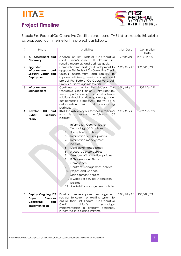



# <span id="page-9-0"></span>**Project Timeline**

Should First Federal Co-Operative Credit Union choose IITAE Ltdto execute this solution as proposed, our timeline for this project is asfollows:

| #              | Phase                                                                                   | <b>Activities</b>                                                                                                                                                                                                                                                                                                                                                                                                                                                                                                                                                                                                                 | <b>Start Date</b>          | Completion<br>Date         |
|----------------|-----------------------------------------------------------------------------------------|-----------------------------------------------------------------------------------------------------------------------------------------------------------------------------------------------------------------------------------------------------------------------------------------------------------------------------------------------------------------------------------------------------------------------------------------------------------------------------------------------------------------------------------------------------------------------------------------------------------------------------------|----------------------------|----------------------------|
| 1              | ICT Assessment and<br><b>Discovery</b>                                                  | Analysis of First Federal Co-Operative<br>Credit Union's current IT infrastructure,<br>security measures, and business goals.                                                                                                                                                                                                                                                                                                                                                                                                                                                                                                     | 01 <sup>st</sup> /02/21    | 28th / 02 / 21             |
| $\overline{2}$ | Upgraded<br>Infrastructure<br>and<br>Security Design and<br>Deployment                  | Comprehensive strategy development to<br>upgrade First Federal Co-Operative Credit<br>Union's infrastructure and security to<br>improve efficiency, minimize costs, and<br>protect First Federal Co-Operative Credit<br>Union's business against threats.                                                                                                                                                                                                                                                                                                                                                                         | 01 <sup>st</sup> / 02 / 21 | 30 <sup>st</sup> / 06 / 21 |
| 3              | Infrastructure<br>Management                                                            | Continue to monitor First Federal Co-<br>Operative Credit Union's infrastructure,<br>track its performance, and provide timely<br>solutions should anything go wrong under<br>our consulting procedures. This will be in<br>collaboration<br>with<br>outsourcing<br>all<br>partners.                                                                                                                                                                                                                                                                                                                                              | 01 <sup>st</sup> / 02 / 21 | 30 <sup>st</sup> / 06 / 21 |
| 4              | <b>ICT</b><br>Develop<br>and<br>Cyber<br>Security<br>Policy                             | IITAE Ltd will deploy our services in this area<br>which is to develop the following ICT<br>policies:<br>Information Communication<br>1.<br>Technology (ICT) policies<br>2.<br>Compliance policies<br>3.<br>Information security policies<br>Information management<br>4.<br>policies<br>5.<br>Data governance policy<br>6.<br>Acceptable use policies<br>Freedom of information policies<br>7.<br>8.<br>IT Governance, Risk and<br>Compliance<br>9.<br>Contract management policies<br>10. Project and Change<br>Management policies<br>11. IT Goods or Services Acquisition<br>policies<br>12. Availability management policies | 01 <sup>st</sup> / 02 / 21 | 30 <sup>st</sup> / 06 / 21 |
| 5              | Deploy Ongoing ICT<br>Project<br><b>Services</b><br>Consulting<br>and<br>Implementation | Provide complete project management<br>services to current or exciting system to<br>ensure that First Federal Co-Operative<br>Credit<br>Union's<br>technology<br>implementation is properly designed,<br>integrated into existing systems.                                                                                                                                                                                                                                                                                                                                                                                        | 01 <sup>st</sup> / 02 / 21 | 30st / 07 / 21             |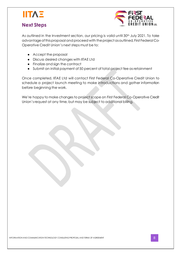

# <span id="page-10-0"></span>**Next Steps**



As outlined in the Investment section, our pricing is valid until 30<sup>th</sup> July 2021. To take advantage of this proposal and proceed with the project as outlined, First Federal Co-Operative Credit Union's next steps must be to:

- **●** Accept the proposal
- **●** Discuss desired changes with IITAE Ltd
- **●** Finalize and sign the contract
- **●** Submit an initial payment of 50 percent of total project fee asretainment

Once completed, IITAE Ltd will contact First Federal Co-Operative Credit Union to schedule a project launch meeting to make introductions and gather information before beginning the work.

We're happy to make changes to project scope on First Federal Co-Operative Credit Union'srequest at any time, but may be subject to additional billing.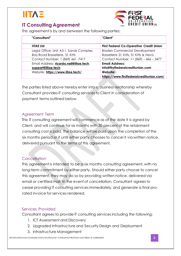# <span id="page-11-0"></span>**IT Consulting Agreement**



This agreement is by and between the following parties:

| "Consultant"                                                              | "Client"                                                                        |
|---------------------------------------------------------------------------|---------------------------------------------------------------------------------|
| <b>IITAE Ltd</b>                                                          | <b>First Federal Co-Operative Credit Union</b>                                  |
| Legal Office: Unit A5-1, Sands Complex,<br>Bay Road Basseterre, St. Kitts | <b>Bladen Commercial Development</b><br>Basseterre St. Kitts, St. Kitts & Nevis |
| Contact Number: 1 (869) 661 -7417                                         | Contact Number: +1 (869) - 466 - 3477                                           |
| Email Address: ricardo.neil@iitae.tech,<br>support@iitae.tech             | <b>Email Address:</b><br>info@firstfederalcreditunion.com                       |
| Website: https://www.iitae.tech/                                          | Website:<br>https://www.firstfederalcreditunion.com/                            |

The parties listed above hereby enter into a business relationship whereby Consultant provides IT consulting services to Client in consideration of payment terms outlined below.

# <span id="page-11-1"></span>Agreement Term

This IT consulting agreement will commence as of the date it is signed by Client, and will continue for six months with 50 percent of the retainment consulting cost is paid. The balance will be paid upon the completion of the six months period or if until either party chooses to cancel it via written notice, delivered pursuant to the terms of this agreement.

# <span id="page-11-2"></span>**Cancellation**

This agreement is intended to be a six months consulting agreement, with no long-term commitment by either party. Should either party choose to cancel this agreement, they may do so by providing written notice, delivered via email or certified mail. In the event of cancellation, Consultant agrees to cease providing IT consulting services immediately, and generate a final prorated invoice for services rendered.

# <span id="page-11-3"></span>Services Provided

Consultant agrees to provide IT consulting services including the following:

- 1. ICT Assessment and Discovery
- 2. Upgraded Infrastructure and Security Design and Deployment
- 3. Infrastructure Management

*INFORMATION ANDCOMMUNICATION TECHNOLOGY CONSULTINGPROPOSAL ANDTERMS OF AGREEMENT* 9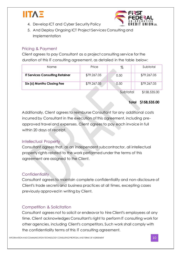

- 4. Develop ICT and Cyber Security Policy
- 5. And Deploy Ongoing ICT Project Services Consulting and Implementation

### <span id="page-12-0"></span>Pricing & Payment

Client agrees to pay Consultant as a project consulting service for the duration of this IT consulting agreement, as detailed in the table below:

| Name                                   | Price       | %               | Subtotal       |
|----------------------------------------|-------------|-----------------|----------------|
| <b>IT Services Consulting Retainer</b> | \$79,267.05 | 0.50            | \$79,267.05    |
| Six (6) Months Closing Fee             | \$79,267.05 | 0.50            | \$79,267.05    |
|                                        |             | $C = 1 + 1 + 1$ | $+1.50.505.00$ |

Subtotal \$158,535.00

### **Total \$158,535.00**

Additionally, Client agrees to reimburse Consultant for any additional costs incurred by Consultant in the execution of this agreement, including preapproved travel and expenses. Client agrees to pay each invoice in full within 20 days of receipt.

### <span id="page-12-1"></span>Intellectual Property

Consultant agrees that, as an independent subcontractor, all intellectual property rights related to the work performed under the terms of this agreement are assigned to the Client.

# <span id="page-12-2"></span>**Confidentiality**

Consultant agrees to maintain complete confidentiality and non-disclosure of Client's trade secrets and business practices at all times, excepting cases previously approved in writing by Client.

# <span id="page-12-3"></span>Competition & Solicitation

Consultant agrees not to solicit or endeavor to hire Client's employees at any time. Client acknowledges Consultant's right to perform IT consulting work for other agencies, including Client's competitors. Such work shall comply with the confidentiality terms of this IT consulting agreement.